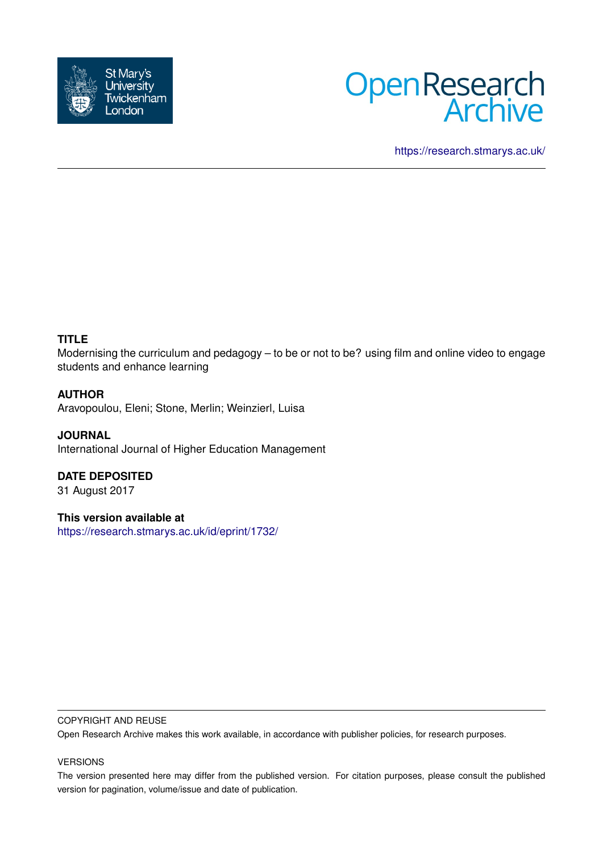



<https://research.stmarys.ac.uk/>

## **TITLE**

Modernising the curriculum and pedagogy – to be or not to be? using film and online video to engage students and enhance learning

## **AUTHOR**

Aravopoulou, Eleni; Stone, Merlin; Weinzierl, Luisa

**JOURNAL** International Journal of Higher Education Management

# **DATE DEPOSITED**

31 August 2017

## **This version available at**

<https://research.stmarys.ac.uk/id/eprint/1732/>

#### COPYRIGHT AND REUSE

Open Research Archive makes this work available, in accordance with publisher policies, for research purposes.

#### VERSIONS

The version presented here may differ from the published version. For citation purposes, please consult the published version for pagination, volume/issue and date of publication.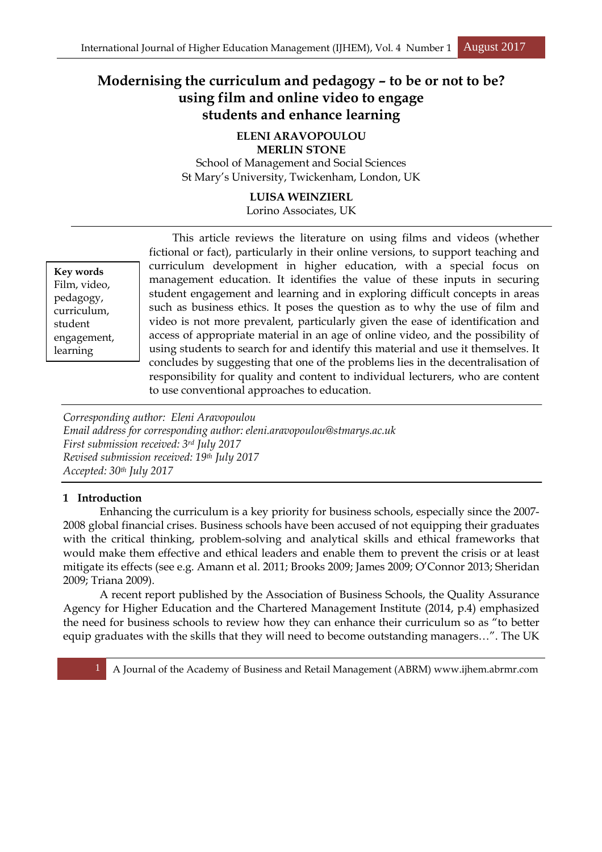## **Modernising the curriculum and pedagogy – to be or not to be? using film and online video to engage students and enhance learning**

## **ELENI ARAVOPOULOU**

**MERLIN STONE**  School of Management and Social Sciences St Mary's University, Twickenham, London, UK

## **LUISA WEINZIERL**

Lorino Associates, UK

**Key words** Film, video, pedagogy, curriculum, student engagement, learning

This article reviews the literature on using films and videos (whether fictional or fact), particularly in their online versions, to support teaching and curriculum development in higher education, with a special focus on management education. It identifies the value of these inputs in securing student engagement and learning and in exploring difficult concepts in areas such as business ethics. It poses the question as to why the use of film and video is not more prevalent, particularly given the ease of identification and access of appropriate material in an age of online video, and the possibility of using students to search for and identify this material and use it themselves. It concludes by suggesting that one of the problems lies in the decentralisation of responsibility for quality and content to individual lecturers, who are content to use conventional approaches to education.

*Corresponding author: Eleni Aravopoulou Email address for corresponding author: eleni.aravopoulou@stmarys.ac.uk First submission received: 3rd July 2017 Revised submission received: 19th July 2017 Accepted: 30th July 2017* 

## **1 Introduction**

 Enhancing the curriculum is a key priority for business schools, especially since the 2007- 2008 global financial crises. Business schools have been accused of not equipping their graduates with the critical thinking, problem-solving and analytical skills and ethical frameworks that would make them effective and ethical leaders and enable them to prevent the crisis or at least mitigate its effects (see e.g. Amann et al. 2011; Brooks 2009; James 2009; O'Connor 2013; Sheridan 2009; Triana 2009).

 A recent report published by the Association of Business Schools, the Quality Assurance Agency for Higher Education and the Chartered Management Institute (2014, p.4) emphasized the need for business schools to review how they can enhance their curriculum so as "to better equip graduates with the skills that they will need to become outstanding managers…". The UK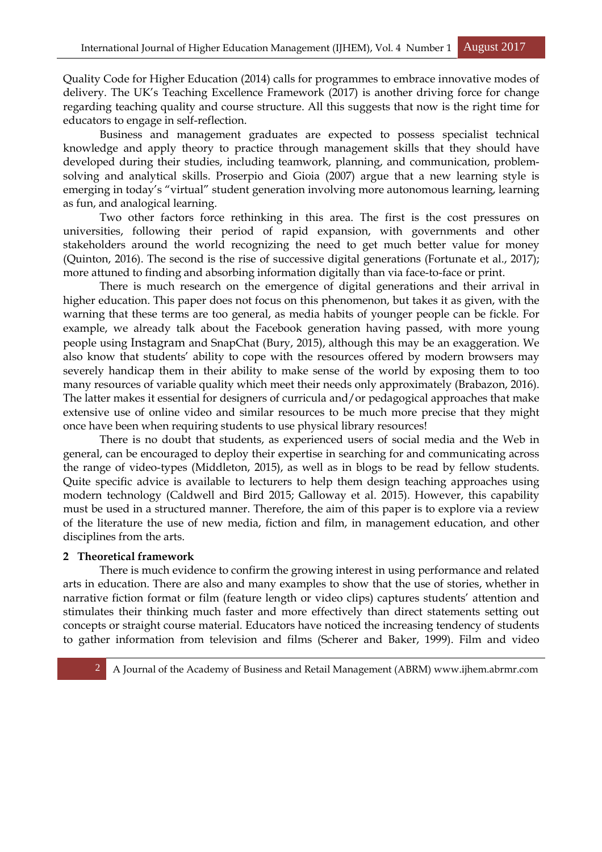Quality Code for Higher Education (2014) calls for programmes to embrace innovative modes of delivery. The UK's Teaching Excellence Framework (2017) is another driving force for change regarding teaching quality and course structure. All this suggests that now is the right time for educators to engage in self-reflection.

 Business and management graduates are expected to possess specialist technical knowledge and apply theory to practice through management skills that they should have developed during their studies, including teamwork, planning, and communication, problemsolving and analytical skills. Proserpio and Gioia (2007) argue that a new learning style is emerging in today's "virtual" student generation involving more autonomous learning, learning as fun, and analogical learning.

 Two other factors force rethinking in this area. The first is the cost pressures on universities, following their period of rapid expansion, with governments and other stakeholders around the world recognizing the need to get much better value for money (Quinton, 2016). The second is the rise of successive digital generations (Fortunate et al., 2017); more attuned to finding and absorbing information digitally than via face-to-face or print.

 There is much research on the emergence of digital generations and their arrival in higher education. This paper does not focus on this phenomenon, but takes it as given, with the warning that these terms are too general, as media habits of younger people can be fickle. For example, we already talk about the Facebook generation having passed, with more young people using Instagram and SnapChat (Bury, 2015), although this may be an exaggeration. We also know that students' ability to cope with the resources offered by modern browsers may severely handicap them in their ability to make sense of the world by exposing them to too many resources of variable quality which meet their needs only approximately (Brabazon, 2016). The latter makes it essential for designers of curricula and/or pedagogical approaches that make extensive use of online video and similar resources to be much more precise that they might once have been when requiring students to use physical library resources!

 There is no doubt that students, as experienced users of social media and the Web in general, can be encouraged to deploy their expertise in searching for and communicating across the range of video-types (Middleton, 2015), as well as in blogs to be read by fellow students. Quite specific advice is available to lecturers to help them design teaching approaches using modern technology (Caldwell and Bird 2015; Galloway et al. 2015). However, this capability must be used in a structured manner. Therefore, the aim of this paper is to explore via a review of the literature the use of new media, fiction and film, in management education, and other disciplines from the arts.

## **2 Theoretical framework**

 There is much evidence to confirm the growing interest in using performance and related arts in education. There are also and many examples to show that the use of stories, whether in narrative fiction format or film (feature length or video clips) captures students' attention and stimulates their thinking much faster and more effectively than direct statements setting out concepts or straight course material. Educators have noticed the increasing tendency of students to gather information from television and films (Scherer and Baker, 1999). Film and video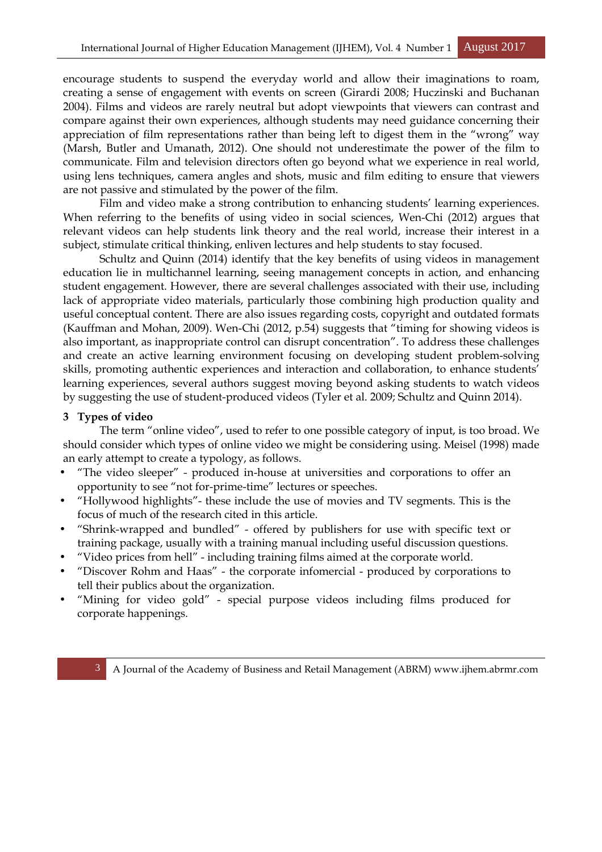encourage students to suspend the everyday world and allow their imaginations to roam, creating a sense of engagement with events on screen (Girardi 2008; Huczinski and Buchanan 2004). Films and videos are rarely neutral but adopt viewpoints that viewers can contrast and compare against their own experiences, although students may need guidance concerning their appreciation of film representations rather than being left to digest them in the "wrong" way (Marsh, Butler and Umanath, 2012). One should not underestimate the power of the film to communicate. Film and television directors often go beyond what we experience in real world, using lens techniques, camera angles and shots, music and film editing to ensure that viewers are not passive and stimulated by the power of the film.

 Film and video make a strong contribution to enhancing students' learning experiences. When referring to the benefits of using video in social sciences, Wen-Chi (2012) argues that relevant videos can help students link theory and the real world, increase their interest in a subject, stimulate critical thinking, enliven lectures and help students to stay focused.

 Schultz and Quinn (2014) identify that the key benefits of using videos in management education lie in multichannel learning, seeing management concepts in action, and enhancing student engagement. However, there are several challenges associated with their use, including lack of appropriate video materials, particularly those combining high production quality and useful conceptual content. There are also issues regarding costs, copyright and outdated formats (Kauffman and Mohan, 2009). Wen-Chi (2012, p.54) suggests that "timing for showing videos is also important, as inappropriate control can disrupt concentration". To address these challenges and create an active learning environment focusing on developing student problem-solving skills, promoting authentic experiences and interaction and collaboration, to enhance students' learning experiences, several authors suggest moving beyond asking students to watch videos by suggesting the use of student-produced videos (Tyler et al. 2009; Schultz and Quinn 2014).

#### **3 Types of video**

 The term "online video", used to refer to one possible category of input, is too broad. We should consider which types of online video we might be considering using. Meisel (1998) made an early attempt to create a typology, as follows.

- "The video sleeper" produced in-house at universities and corporations to offer an opportunity to see "not for-prime-time" lectures or speeches.
- "Hollywood highlights"- these include the use of movies and TV segments. This is the focus of much of the research cited in this article.
- "Shrink-wrapped and bundled" offered by publishers for use with specific text or training package, usually with a training manual including useful discussion questions.
- "Video prices from hell" including training films aimed at the corporate world.
- "Discover Rohm and Haas" the corporate infomercial produced by corporations to tell their publics about the organization.
- "Mining for video gold" special purpose videos including films produced for corporate happenings.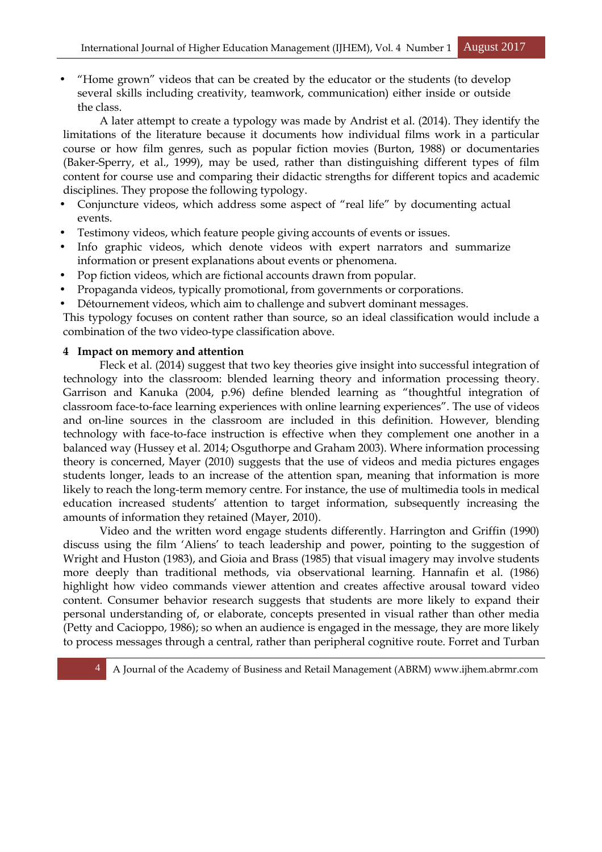• "Home grown" videos that can be created by the educator or the students (to develop several skills including creativity, teamwork, communication) either inside or outside the class.

 A later attempt to create a typology was made by Andrist et al. (2014). They identify the limitations of the literature because it documents how individual films work in a particular course or how film genres, such as popular fiction movies (Burton, 1988) or documentaries (Baker-Sperry, et al., 1999), may be used, rather than distinguishing different types of film content for course use and comparing their didactic strengths for different topics and academic disciplines. They propose the following typology.

- Conjuncture videos, which address some aspect of "real life" by documenting actual events.
- Testimony videos, which feature people giving accounts of events or issues.
- Info graphic videos, which denote videos with expert narrators and summarize information or present explanations about events or phenomena.
- Pop fiction videos, which are fictional accounts drawn from popular.
- Propaganda videos, typically promotional, from governments or corporations.
- Détournement videos, which aim to challenge and subvert dominant messages.

This typology focuses on content rather than source, so an ideal classification would include a combination of the two video-type classification above.

## **4 Impact on memory and attention**

 Fleck et al. (2014) suggest that two key theories give insight into successful integration of technology into the classroom: blended learning theory and information processing theory. Garrison and Kanuka (2004, p.96) define blended learning as "thoughtful integration of classroom face-to-face learning experiences with online learning experiences". The use of videos and on-line sources in the classroom are included in this definition. However, blending technology with face-to-face instruction is effective when they complement one another in a balanced way (Hussey et al. 2014; Osguthorpe and Graham 2003). Where information processing theory is concerned, Mayer (2010) suggests that the use of videos and media pictures engages students longer, leads to an increase of the attention span, meaning that information is more likely to reach the long-term memory centre. For instance, the use of multimedia tools in medical education increased students' attention to target information, subsequently increasing the amounts of information they retained (Mayer, 2010).

 Video and the written word engage students differently. Harrington and Griffin (1990) discuss using the film 'Aliens' to teach leadership and power, pointing to the suggestion of Wright and Huston (1983), and Gioia and Brass (1985) that visual imagery may involve students more deeply than traditional methods, via observational learning. Hannafin et al. (1986) highlight how video commands viewer attention and creates affective arousal toward video content. Consumer behavior research suggests that students are more likely to expand their personal understanding of, or elaborate, concepts presented in visual rather than other media (Petty and Cacioppo, 1986); so when an audience is engaged in the message, they are more likely to process messages through a central, rather than peripheral cognitive route. Forret and Turban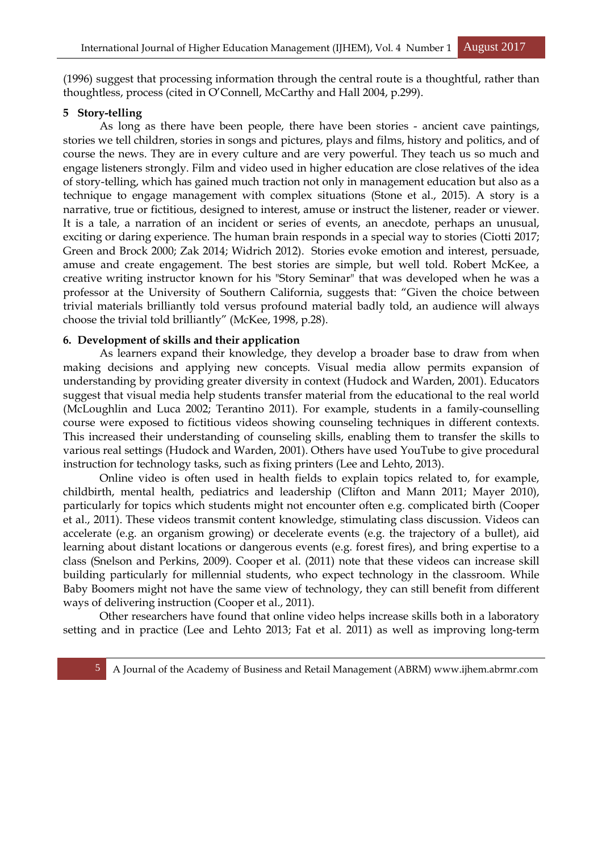(1996) suggest that processing information through the central route is a thoughtful, rather than thoughtless, process (cited in O'Connell, McCarthy and Hall 2004, p.299).

## **5 Story-telling**

 As long as there have been people, there have been stories - ancient cave paintings, stories we tell children, stories in songs and pictures, plays and films, history and politics, and of course the news. They are in every culture and are very powerful. They teach us so much and engage listeners strongly. Film and video used in higher education are close relatives of the idea of story-telling, which has gained much traction not only in management education but also as a technique to engage management with complex situations (Stone et al., 2015). A story is a narrative, true or fictitious, designed to interest, amuse or instruct the listener, reader or viewer. It is a tale, a narration of an incident or series of events, an anecdote, perhaps an unusual, exciting or daring experience. The human brain responds in a special way to stories (Ciotti 2017; Green and Brock 2000; Zak 2014; Widrich 2012). Stories evoke emotion and interest, persuade, amuse and create engagement. The best stories are simple, but well told. Robert McKee, a creative writing instructor known for his "Story Seminar" that was developed when he was a professor at the University of Southern California, suggests that: "Given the choice between trivial materials brilliantly told versus profound material badly told, an audience will always choose the trivial told brilliantly" (McKee, 1998, p.28).

## **6. Development of skills and their application**

 As learners expand their knowledge, they develop a broader base to draw from when making decisions and applying new concepts. Visual media allow permits expansion of understanding by providing greater diversity in context (Hudock and Warden, 2001). Educators suggest that visual media help students transfer material from the educational to the real world (McLoughlin and Luca 2002; Terantino 2011). For example, students in a family-counselling course were exposed to fictitious videos showing counseling techniques in different contexts. This increased their understanding of counseling skills, enabling them to transfer the skills to various real settings (Hudock and Warden, 2001). Others have used YouTube to give procedural instruction for technology tasks, such as fixing printers (Lee and Lehto, 2013).

 Online video is often used in health fields to explain topics related to, for example, childbirth, mental health, pediatrics and leadership (Clifton and Mann 2011; Mayer 2010), particularly for topics which students might not encounter often e.g. complicated birth (Cooper et al., 2011). These videos transmit content knowledge, stimulating class discussion. Videos can accelerate (e.g. an organism growing) or decelerate events (e.g. the trajectory of a bullet), aid learning about distant locations or dangerous events (e.g. forest fires), and bring expertise to a class (Snelson and Perkins, 2009). Cooper et al. (2011) note that these videos can increase skill building particularly for millennial students, who expect technology in the classroom. While Baby Boomers might not have the same view of technology, they can still benefit from different ways of delivering instruction (Cooper et al., 2011).

 Other researchers have found that online video helps increase skills both in a laboratory setting and in practice (Lee and Lehto 2013; Fat et al. 2011) as well as improving long-term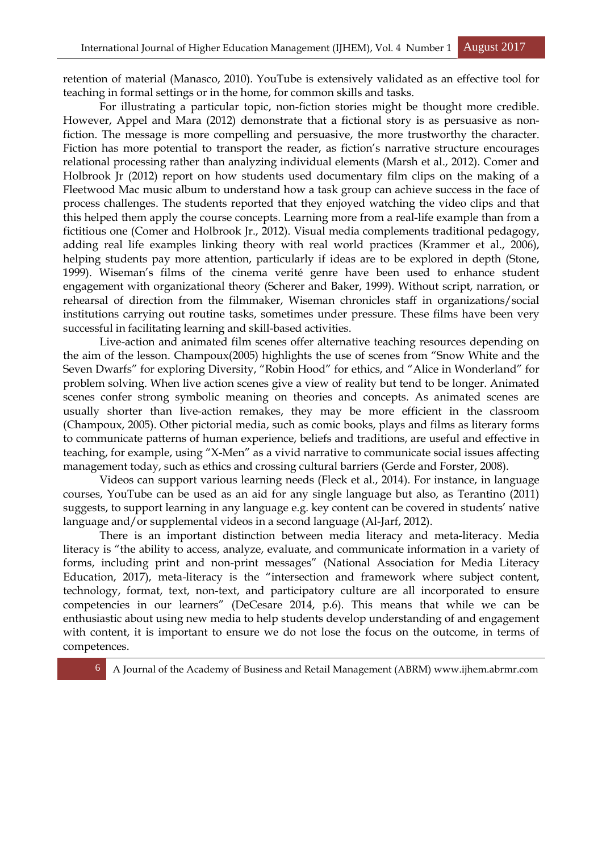retention of material (Manasco, 2010). YouTube is extensively validated as an effective tool for teaching in formal settings or in the home, for common skills and tasks.

 For illustrating a particular topic, non-fiction stories might be thought more credible. However, Appel and Mara (2012) demonstrate that a fictional story is as persuasive as nonfiction. The message is more compelling and persuasive, the more trustworthy the character. Fiction has more potential to transport the reader, as fiction's narrative structure encourages relational processing rather than analyzing individual elements (Marsh et al., 2012). Comer and Holbrook Jr (2012) report on how students used documentary film clips on the making of a Fleetwood Mac music album to understand how a task group can achieve success in the face of process challenges. The students reported that they enjoyed watching the video clips and that this helped them apply the course concepts. Learning more from a real-life example than from a fictitious one (Comer and Holbrook Jr., 2012). Visual media complements traditional pedagogy, adding real life examples linking theory with real world practices (Krammer et al., 2006), helping students pay more attention, particularly if ideas are to be explored in depth (Stone, 1999). Wiseman's films of the cinema verité genre have been used to enhance student engagement with organizational theory (Scherer and Baker, 1999). Without script, narration, or rehearsal of direction from the filmmaker, Wiseman chronicles staff in organizations/social institutions carrying out routine tasks, sometimes under pressure. These films have been very successful in facilitating learning and skill-based activities.

 Live-action and animated film scenes offer alternative teaching resources depending on the aim of the lesson. Champoux(2005) highlights the use of scenes from "Snow White and the Seven Dwarfs" for exploring Diversity, "Robin Hood" for ethics, and "Alice in Wonderland" for problem solving. When live action scenes give a view of reality but tend to be longer. Animated scenes confer strong symbolic meaning on theories and concepts. As animated scenes are usually shorter than live-action remakes, they may be more efficient in the classroom (Champoux, 2005). Other pictorial media, such as comic books, plays and films as literary forms to communicate patterns of human experience, beliefs and traditions, are useful and effective in teaching, for example, using "X-Men" as a vivid narrative to communicate social issues affecting management today, such as ethics and crossing cultural barriers (Gerde and Forster, 2008).

 Videos can support various learning needs (Fleck et al., 2014). For instance, in language courses, YouTube can be used as an aid for any single language but also, as Terantino (2011) suggests, to support learning in any language e.g. key content can be covered in students' native language and/or supplemental videos in a second language (Al-Jarf, 2012).

 There is an important distinction between media literacy and meta-literacy. Media literacy is "the ability to access, analyze, evaluate, and communicate information in a variety of forms, including print and non-print messages" (National Association for Media Literacy Education, 2017), meta-literacy is the "intersection and framework where subject content, technology, format, text, non-text, and participatory culture are all incorporated to ensure competencies in our learners" (DeCesare 2014, p.6). This means that while we can be enthusiastic about using new media to help students develop understanding of and engagement with content, it is important to ensure we do not lose the focus on the outcome, in terms of competences.

6 A Journal of the Academy of Business and Retail Management (ABRM) www.ijhem.abrmr.com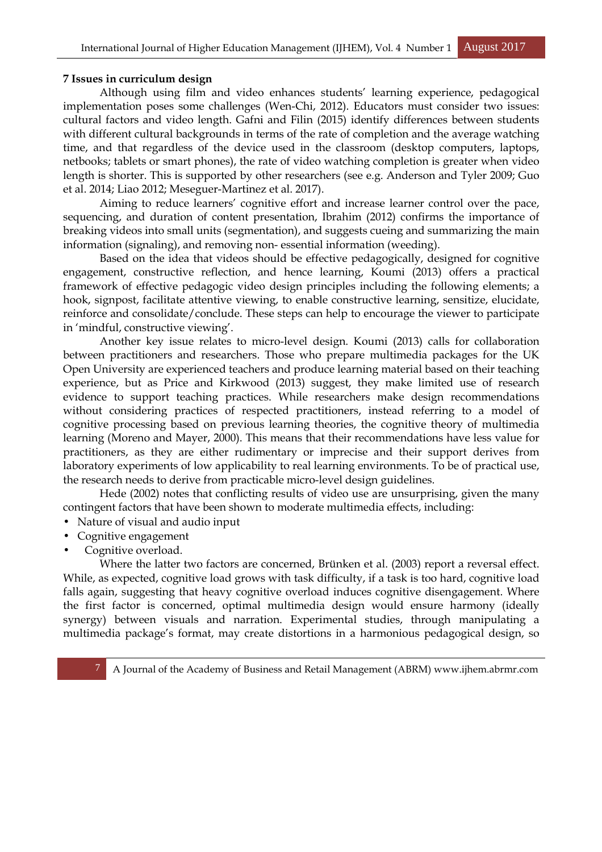#### **7 Issues in curriculum design**

 Although using film and video enhances students' learning experience, pedagogical implementation poses some challenges (Wen-Chi, 2012). Educators must consider two issues: cultural factors and video length. Gafni and Filin (2015) identify differences between students with different cultural backgrounds in terms of the rate of completion and the average watching time, and that regardless of the device used in the classroom (desktop computers, laptops, netbooks; tablets or smart phones), the rate of video watching completion is greater when video length is shorter. This is supported by other researchers (see e.g. Anderson and Tyler 2009; Guo et al. 2014; Liao 2012; Meseguer-Martinez et al. 2017).

 Aiming to reduce learners' cognitive effort and increase learner control over the pace, sequencing, and duration of content presentation, Ibrahim (2012) confirms the importance of breaking videos into small units (segmentation), and suggests cueing and summarizing the main information (signaling), and removing non- essential information (weeding).

 Based on the idea that videos should be effective pedagogically, designed for cognitive engagement, constructive reflection, and hence learning, Koumi (2013) offers a practical framework of effective pedagogic video design principles including the following elements; a hook, signpost, facilitate attentive viewing, to enable constructive learning, sensitize, elucidate, reinforce and consolidate/conclude. These steps can help to encourage the viewer to participate in 'mindful, constructive viewing'.

 Another key issue relates to micro-level design. Koumi (2013) calls for collaboration between practitioners and researchers. Those who prepare multimedia packages for the UK Open University are experienced teachers and produce learning material based on their teaching experience, but as Price and Kirkwood (2013) suggest, they make limited use of research evidence to support teaching practices. While researchers make design recommendations without considering practices of respected practitioners, instead referring to a model of cognitive processing based on previous learning theories, the cognitive theory of multimedia learning (Moreno and Mayer, 2000). This means that their recommendations have less value for practitioners, as they are either rudimentary or imprecise and their support derives from laboratory experiments of low applicability to real learning environments. To be of practical use, the research needs to derive from practicable micro-level design guidelines.

 Hede (2002) notes that conflicting results of video use are unsurprising, given the many contingent factors that have been shown to moderate multimedia effects, including:

- Nature of visual and audio input
- Cognitive engagement
- Cognitive overload.

 Where the latter two factors are concerned, Brünken et al. (2003) report a reversal effect. While, as expected, cognitive load grows with task difficulty, if a task is too hard, cognitive load falls again, suggesting that heavy cognitive overload induces cognitive disengagement. Where the first factor is concerned, optimal multimedia design would ensure harmony (ideally synergy) between visuals and narration. Experimental studies, through manipulating a multimedia package's format, may create distortions in a harmonious pedagogical design, so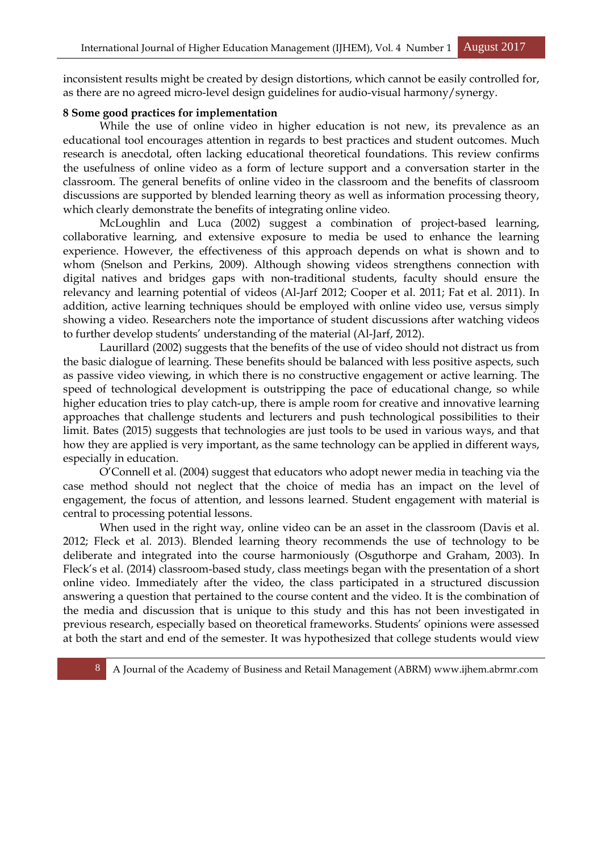inconsistent results might be created by design distortions, which cannot be easily controlled for, as there are no agreed micro-level design guidelines for audio-visual harmony/synergy.

#### **8 Some good practices for implementation**

 While the use of online video in higher education is not new, its prevalence as an educational tool encourages attention in regards to best practices and student outcomes. Much research is anecdotal, often lacking educational theoretical foundations. This review confirms the usefulness of online video as a form of lecture support and a conversation starter in the classroom. The general benefits of online video in the classroom and the benefits of classroom discussions are supported by blended learning theory as well as information processing theory, which clearly demonstrate the benefits of integrating online video.

 McLoughlin and Luca (2002) suggest a combination of project-based learning, collaborative learning, and extensive exposure to media be used to enhance the learning experience. However, the effectiveness of this approach depends on what is shown and to whom (Snelson and Perkins, 2009). Although showing videos strengthens connection with digital natives and bridges gaps with non-traditional students, faculty should ensure the relevancy and learning potential of videos (Al-Jarf 2012; Cooper et al. 2011; Fat et al. 2011). In addition, active learning techniques should be employed with online video use, versus simply showing a video. Researchers note the importance of student discussions after watching videos to further develop students' understanding of the material (Al-Jarf, 2012).

 Laurillard (2002) suggests that the benefits of the use of video should not distract us from the basic dialogue of learning. These benefits should be balanced with less positive aspects, such as passive video viewing, in which there is no constructive engagement or active learning. The speed of technological development is outstripping the pace of educational change, so while higher education tries to play catch-up, there is ample room for creative and innovative learning approaches that challenge students and lecturers and push technological possibilities to their limit. Bates (2015) suggests that technologies are just tools to be used in various ways, and that how they are applied is very important, as the same technology can be applied in different ways, especially in education.

 O'Connell et al. (2004) suggest that educators who adopt newer media in teaching via the case method should not neglect that the choice of media has an impact on the level of engagement, the focus of attention, and lessons learned. Student engagement with material is central to processing potential lessons.

 When used in the right way, online video can be an asset in the classroom (Davis et al. 2012; Fleck et al. 2013). Blended learning theory recommends the use of technology to be deliberate and integrated into the course harmoniously (Osguthorpe and Graham, 2003). In Fleck's et al. (2014) classroom-based study, class meetings began with the presentation of a short online video. Immediately after the video, the class participated in a structured discussion answering a question that pertained to the course content and the video. It is the combination of the media and discussion that is unique to this study and this has not been investigated in previous research, especially based on theoretical frameworks. Students' opinions were assessed at both the start and end of the semester. It was hypothesized that college students would view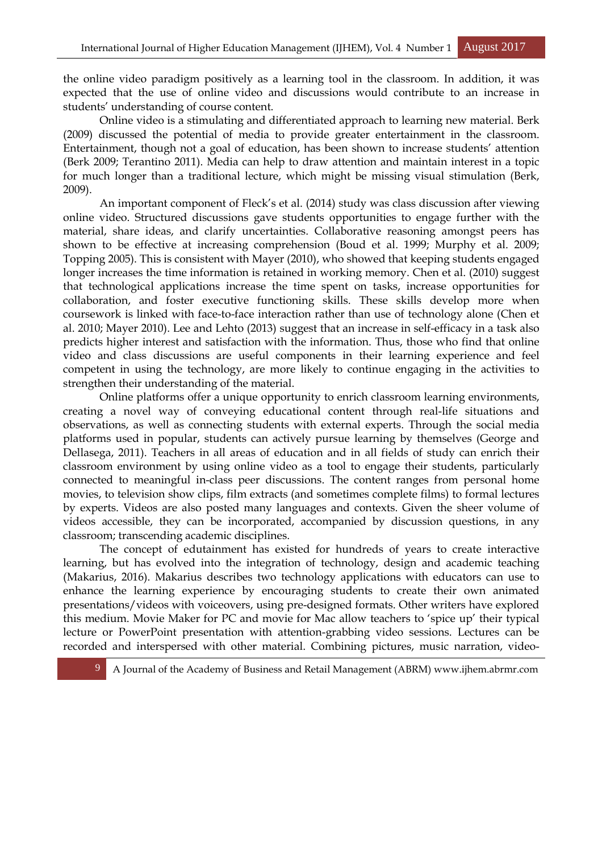the online video paradigm positively as a learning tool in the classroom. In addition, it was expected that the use of online video and discussions would contribute to an increase in students' understanding of course content.

 Online video is a stimulating and differentiated approach to learning new material. Berk (2009) discussed the potential of media to provide greater entertainment in the classroom. Entertainment, though not a goal of education, has been shown to increase students' attention (Berk 2009; Terantino 2011). Media can help to draw attention and maintain interest in a topic for much longer than a traditional lecture, which might be missing visual stimulation (Berk, 2009).

 An important component of Fleck's et al. (2014) study was class discussion after viewing online video. Structured discussions gave students opportunities to engage further with the material, share ideas, and clarify uncertainties. Collaborative reasoning amongst peers has shown to be effective at increasing comprehension (Boud et al. 1999; Murphy et al. 2009; Topping 2005). This is consistent with Mayer (2010), who showed that keeping students engaged longer increases the time information is retained in working memory. Chen et al. (2010) suggest that technological applications increase the time spent on tasks, increase opportunities for collaboration, and foster executive functioning skills. These skills develop more when coursework is linked with face-to-face interaction rather than use of technology alone (Chen et al. 2010; Mayer 2010). Lee and Lehto (2013) suggest that an increase in self-efficacy in a task also predicts higher interest and satisfaction with the information. Thus, those who find that online video and class discussions are useful components in their learning experience and feel competent in using the technology, are more likely to continue engaging in the activities to strengthen their understanding of the material.

 Online platforms offer a unique opportunity to enrich classroom learning environments, creating a novel way of conveying educational content through real-life situations and observations, as well as connecting students with external experts. Through the social media platforms used in popular, students can actively pursue learning by themselves (George and Dellasega, 2011). Teachers in all areas of education and in all fields of study can enrich their classroom environment by using online video as a tool to engage their students, particularly connected to meaningful in-class peer discussions. The content ranges from personal home movies, to television show clips, film extracts (and sometimes complete films) to formal lectures by experts. Videos are also posted many languages and contexts. Given the sheer volume of videos accessible, they can be incorporated, accompanied by discussion questions, in any classroom; transcending academic disciplines.

 The concept of edutainment has existed for hundreds of years to create interactive learning, but has evolved into the integration of technology, design and academic teaching (Makarius, 2016). Makarius describes two technology applications with educators can use to enhance the learning experience by encouraging students to create their own animated presentations/videos with voiceovers, using pre-designed formats. Other writers have explored this medium. Movie Maker for PC and movie for Mac allow teachers to 'spice up' their typical lecture or PowerPoint presentation with attention-grabbing video sessions. Lectures can be recorded and interspersed with other material. Combining pictures, music narration, video-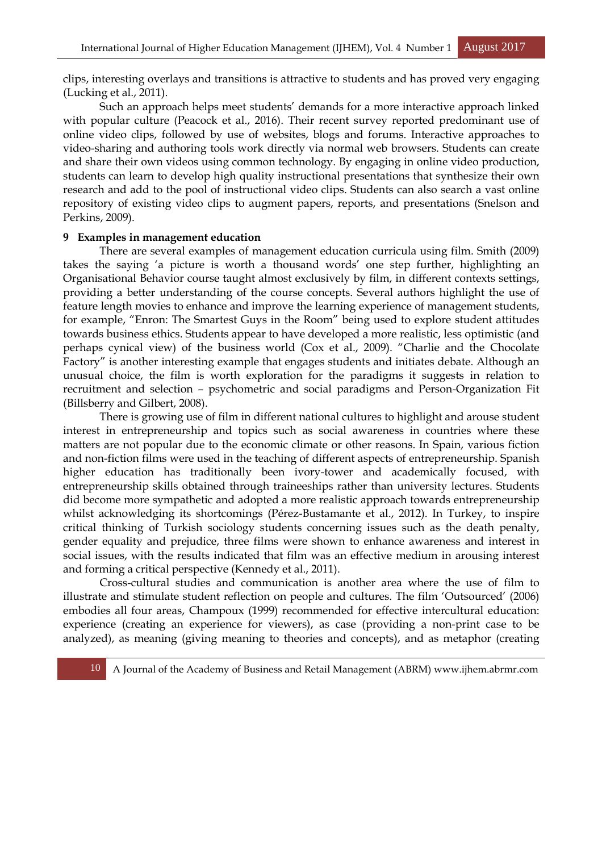clips, interesting overlays and transitions is attractive to students and has proved very engaging (Lucking et al., 2011).

 Such an approach helps meet students' demands for a more interactive approach linked with popular culture (Peacock et al., 2016). Their recent survey reported predominant use of online video clips, followed by use of websites, blogs and forums. Interactive approaches to video-sharing and authoring tools work directly via normal web browsers. Students can create and share their own videos using common technology. By engaging in online video production, students can learn to develop high quality instructional presentations that synthesize their own research and add to the pool of instructional video clips. Students can also search a vast online repository of existing video clips to augment papers, reports, and presentations (Snelson and Perkins, 2009).

#### **9 Examples in management education**

 There are several examples of management education curricula using film. Smith (2009) takes the saying 'a picture is worth a thousand words' one step further, highlighting an Organisational Behavior course taught almost exclusively by film, in different contexts settings, providing a better understanding of the course concepts. Several authors highlight the use of feature length movies to enhance and improve the learning experience of management students, for example, "Enron: The Smartest Guys in the Room" being used to explore student attitudes towards business ethics. Students appear to have developed a more realistic, less optimistic (and perhaps cynical view) of the business world (Cox et al., 2009). "Charlie and the Chocolate Factory" is another interesting example that engages students and initiates debate. Although an unusual choice, the film is worth exploration for the paradigms it suggests in relation to recruitment and selection – psychometric and social paradigms and Person-Organization Fit (Billsberry and Gilbert, 2008).

 There is growing use of film in different national cultures to highlight and arouse student interest in entrepreneurship and topics such as social awareness in countries where these matters are not popular due to the economic climate or other reasons. In Spain, various fiction and non-fiction films were used in the teaching of different aspects of entrepreneurship. Spanish higher education has traditionally been ivory-tower and academically focused, with entrepreneurship skills obtained through traineeships rather than university lectures. Students did become more sympathetic and adopted a more realistic approach towards entrepreneurship whilst acknowledging its shortcomings (Pérez-Bustamante et al., 2012). In Turkey, to inspire critical thinking of Turkish sociology students concerning issues such as the death penalty, gender equality and prejudice, three films were shown to enhance awareness and interest in social issues, with the results indicated that film was an effective medium in arousing interest and forming a critical perspective (Kennedy et al., 2011).

 Cross-cultural studies and communication is another area where the use of film to illustrate and stimulate student reflection on people and cultures. The film 'Outsourced' (2006) embodies all four areas, Champoux (1999) recommended for effective intercultural education: experience (creating an experience for viewers), as case (providing a non-print case to be analyzed), as meaning (giving meaning to theories and concepts), and as metaphor (creating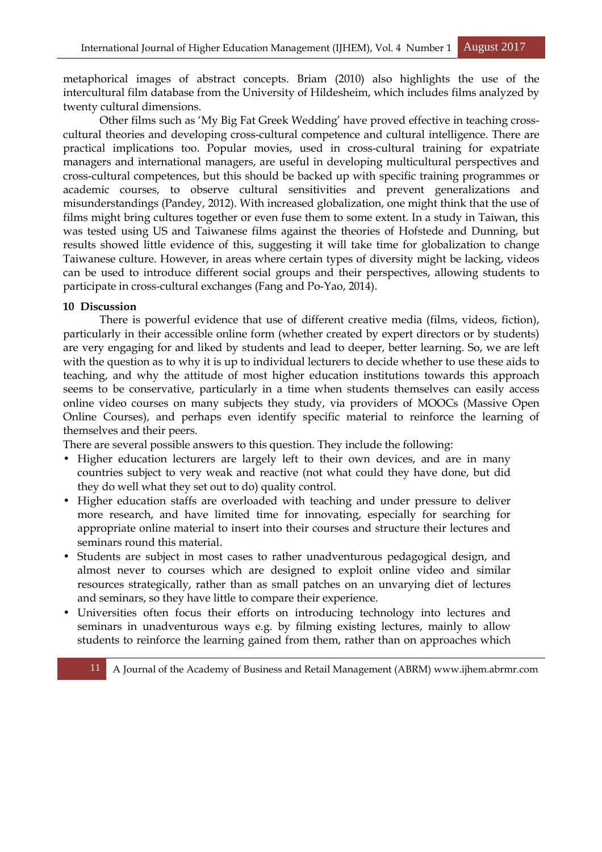metaphorical images of abstract concepts. Briam (2010) also highlights the use of the intercultural film database from the University of Hildesheim, which includes films analyzed by twenty cultural dimensions.

 Other films such as 'My Big Fat Greek Wedding' have proved effective in teaching crosscultural theories and developing cross-cultural competence and cultural intelligence. There are practical implications too. Popular movies, used in cross-cultural training for expatriate managers and international managers, are useful in developing multicultural perspectives and cross-cultural competences, but this should be backed up with specific training programmes or academic courses, to observe cultural sensitivities and prevent generalizations and misunderstandings (Pandey, 2012). With increased globalization, one might think that the use of films might bring cultures together or even fuse them to some extent. In a study in Taiwan, this was tested using US and Taiwanese films against the theories of Hofstede and Dunning, but results showed little evidence of this, suggesting it will take time for globalization to change Taiwanese culture. However, in areas where certain types of diversity might be lacking, videos can be used to introduce different social groups and their perspectives, allowing students to participate in cross-cultural exchanges (Fang and Po-Yao, 2014).

#### **10 Discussion**

 There is powerful evidence that use of different creative media (films, videos, fiction), particularly in their accessible online form (whether created by expert directors or by students) are very engaging for and liked by students and lead to deeper, better learning. So, we are left with the question as to why it is up to individual lecturers to decide whether to use these aids to teaching, and why the attitude of most higher education institutions towards this approach seems to be conservative, particularly in a time when students themselves can easily access online video courses on many subjects they study, via providers of MOOCs (Massive Open Online Courses), and perhaps even identify specific material to reinforce the learning of themselves and their peers.

There are several possible answers to this question. They include the following:

- Higher education lecturers are largely left to their own devices, and are in many countries subject to very weak and reactive (not what could they have done, but did they do well what they set out to do) quality control.
- Higher education staffs are overloaded with teaching and under pressure to deliver more research, and have limited time for innovating, especially for searching for appropriate online material to insert into their courses and structure their lectures and seminars round this material.
- Students are subject in most cases to rather unadventurous pedagogical design, and almost never to courses which are designed to exploit online video and similar resources strategically, rather than as small patches on an unvarying diet of lectures and seminars, so they have little to compare their experience.
- Universities often focus their efforts on introducing technology into lectures and seminars in unadventurous ways e.g. by filming existing lectures, mainly to allow students to reinforce the learning gained from them, rather than on approaches which

11 A Journal of the Academy of Business and Retail Management (ABRM) www.ijhem.abrmr.com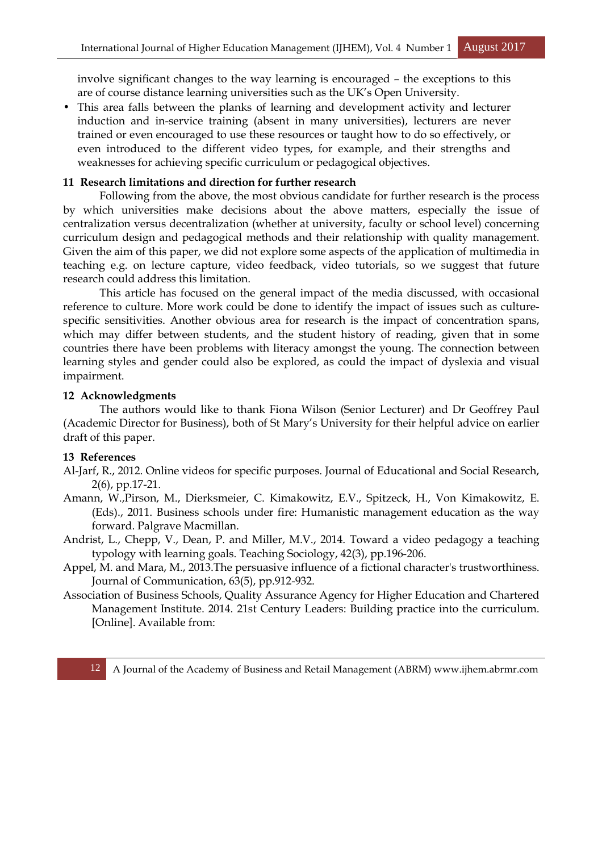involve significant changes to the way learning is encouraged – the exceptions to this are of course distance learning universities such as the UK's Open University.

• This area falls between the planks of learning and development activity and lecturer induction and in-service training (absent in many universities), lecturers are never trained or even encouraged to use these resources or taught how to do so effectively, or even introduced to the different video types, for example, and their strengths and weaknesses for achieving specific curriculum or pedagogical objectives.

#### **11 Research limitations and direction for further research**

 Following from the above, the most obvious candidate for further research is the process by which universities make decisions about the above matters, especially the issue of centralization versus decentralization (whether at university, faculty or school level) concerning curriculum design and pedagogical methods and their relationship with quality management. Given the aim of this paper, we did not explore some aspects of the application of multimedia in teaching e.g. on lecture capture, video feedback, video tutorials, so we suggest that future research could address this limitation.

 This article has focused on the general impact of the media discussed, with occasional reference to culture. More work could be done to identify the impact of issues such as culturespecific sensitivities. Another obvious area for research is the impact of concentration spans, which may differ between students, and the student history of reading, given that in some countries there have been problems with literacy amongst the young. The connection between learning styles and gender could also be explored, as could the impact of dyslexia and visual impairment.

#### **12 Acknowledgments**

 The authors would like to thank Fiona Wilson (Senior Lecturer) and Dr Geoffrey Paul (Academic Director for Business), both of St Mary's University for their helpful advice on earlier draft of this paper.

#### **13 References**

- Al-Jarf, R., 2012. Online videos for specific purposes. Journal of Educational and Social Research, 2(6), pp.17-21.
- Amann, W.,Pirson, M., Dierksmeier, C. Kimakowitz, E.V., Spitzeck, H., Von Kimakowitz, E. (Eds)., 2011. Business schools under fire: Humanistic management education as the way forward. Palgrave Macmillan.
- Andrist, L., Chepp, V., Dean, P. and Miller, M.V., 2014. Toward a video pedagogy a teaching typology with learning goals. Teaching Sociology, 42(3), pp.196-206.
- Appel, M. and Mara, M., 2013.The persuasive influence of a fictional character's trustworthiness. Journal of Communication, 63(5), pp.912-932.
- Association of Business Schools, Quality Assurance Agency for Higher Education and Chartered Management Institute. 2014. 21st Century Leaders: Building practice into the curriculum. [Online]. Available from: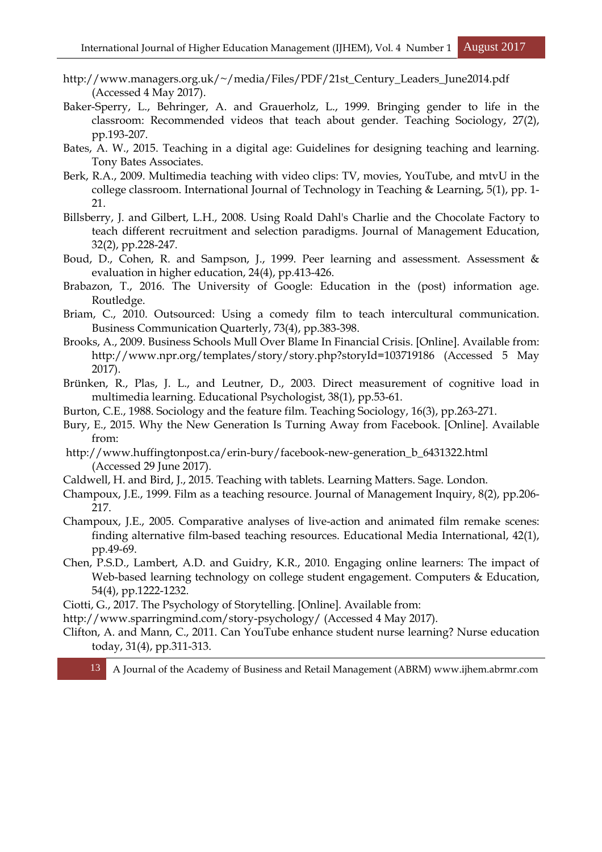- http://www.managers.org.uk/~/media/Files/PDF/21st\_Century\_Leaders\_June2014.pdf (Accessed 4 May 2017).
- Baker-Sperry, L., Behringer, A. and Grauerholz, L., 1999. Bringing gender to life in the classroom: Recommended videos that teach about gender. Teaching Sociology, 27(2), pp.193-207.
- Bates, A. W., 2015. Teaching in a digital age: Guidelines for designing teaching and learning. Tony Bates Associates.
- Berk, R.A., 2009. Multimedia teaching with video clips: TV, movies, YouTube, and mtvU in the college classroom. International Journal of Technology in Teaching & Learning, 5(1), pp. 1- 21.
- Billsberry, J. and Gilbert, L.H., 2008. Using Roald Dahl's Charlie and the Chocolate Factory to teach different recruitment and selection paradigms. Journal of Management Education, 32(2), pp.228-247.
- Boud, D., Cohen, R. and Sampson, J., 1999. Peer learning and assessment. Assessment & evaluation in higher education, 24(4), pp.413-426.
- Brabazon, T., 2016. The University of Google: Education in the (post) information age. Routledge.
- Briam, C., 2010. Outsourced: Using a comedy film to teach intercultural communication. Business Communication Quarterly, 73(4), pp.383-398.
- Brooks, A., 2009. Business Schools Mull Over Blame In Financial Crisis. [Online]. Available from: http://www.npr.org/templates/story/story.php?storyId=103719186 (Accessed 5 May 2017).
- Brünken, R., Plas, J. L., and Leutner, D., 2003. Direct measurement of cognitive load in multimedia learning. Educational Psychologist, 38(1), pp.53-61.
- Burton, C.E., 1988. Sociology and the feature film. Teaching Sociology, 16(3), pp.263-271.
- Bury, E., 2015. Why the New Generation Is Turning Away from Facebook. [Online]. Available from:
- http://www.huffingtonpost.ca/erin-bury/facebook-new-generation\_b\_6431322.html (Accessed 29 June 2017).
- Caldwell, H. and Bird, J., 2015. Teaching with tablets. Learning Matters. Sage. London.
- Champoux, J.E., 1999. Film as a teaching resource. Journal of Management Inquiry, 8(2), pp.206- 217.
- Champoux, J.E., 2005. Comparative analyses of live-action and animated film remake scenes: finding alternative film-based teaching resources. Educational Media International, 42(1), pp.49-69.
- Chen, P.S.D., Lambert, A.D. and Guidry, K.R., 2010. Engaging online learners: The impact of Web-based learning technology on college student engagement. Computers & Education, 54(4), pp.1222-1232.
- Ciotti, G., 2017. The Psychology of Storytelling. [Online]. Available from:
- http://www.sparringmind.com/story-psychology/ (Accessed 4 May 2017).
- Clifton, A. and Mann, C., 2011. Can YouTube enhance student nurse learning? Nurse education today, 31(4), pp.311-313.

13 A Journal of the Academy of Business and Retail Management (ABRM) www.ijhem.abrmr.com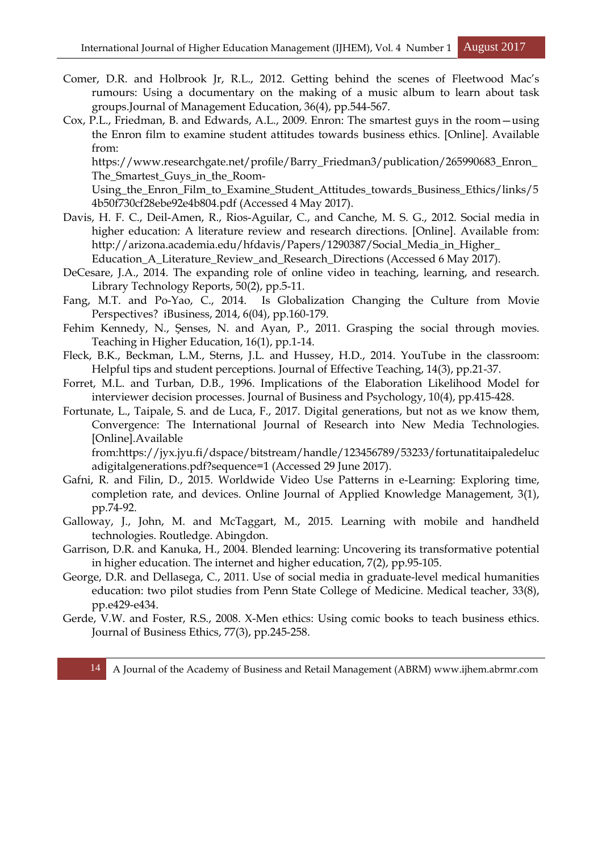- Comer, D.R. and Holbrook Jr, R.L., 2012. Getting behind the scenes of Fleetwood Mac's rumours: Using a documentary on the making of a music album to learn about task groups.Journal of Management Education, 36(4), pp.544-567.
- Cox, P.L., Friedman, B. and Edwards, A.L., 2009. Enron: The smartest guys in the room—using the Enron film to examine student attitudes towards business ethics. [Online]. Available from:

https://www.researchgate.net/profile/Barry\_Friedman3/publication/265990683\_Enron\_ The\_Smartest\_Guys\_in\_the\_Room-

Using\_the\_Enron\_Film\_to\_Examine\_Student\_Attitudes\_towards\_Business\_Ethics/links/5 4b50f730cf28ebe92e4b804.pdf (Accessed 4 May 2017).

- Davis, H. F. C., Deil-Amen, R., Rios-Aguilar, C., and Canche, M. S. G., 2012. Social media in higher education: A literature review and research directions. [Online]. Available from: http://arizona.academia.edu/hfdavis/Papers/1290387/Social\_Media\_in\_Higher\_ Education\_A\_Literature\_Review\_and\_Research\_Directions (Accessed 6 May 2017).
- DeCesare, J.A., 2014. The expanding role of online video in teaching, learning, and research. Library Technology Reports, 50(2), pp.5-11.
- Fang, M.T. and Po-Yao, C., 2014. Is Globalization Changing the Culture from Movie Perspectives? iBusiness, 2014, 6(04), pp.160-179.
- Fehim Kennedy, N., Şenses, N. and Ayan, P., 2011. Grasping the social through movies. Teaching in Higher Education, 16(1), pp.1-14.
- Fleck, B.K., Beckman, L.M., Sterns, J.L. and Hussey, H.D., 2014. YouTube in the classroom: Helpful tips and student perceptions. Journal of Effective Teaching, 14(3), pp.21-37.
- Forret, M.L. and Turban, D.B., 1996. Implications of the Elaboration Likelihood Model for interviewer decision processes. Journal of Business and Psychology, 10(4), pp.415-428.
- Fortunate, L., Taipale, S. and de Luca, F., 2017. Digital generations, but not as we know them, Convergence: The International Journal of Research into New Media Technologies. [Online].Available

from:https://jyx.jyu.fi/dspace/bitstream/handle/123456789/53233/fortunatitaipaledeluc adigitalgenerations.pdf?sequence=1 (Accessed 29 June 2017).

- Gafni, R. and Filin, D., 2015. Worldwide Video Use Patterns in e-Learning: Exploring time, completion rate, and devices. Online Journal of Applied Knowledge Management, 3(1), pp.74-92.
- Galloway, J., John, M. and McTaggart, M., 2015. Learning with mobile and handheld technologies. Routledge. Abingdon.
- Garrison, D.R. and Kanuka, H., 2004. Blended learning: Uncovering its transformative potential in higher education. The internet and higher education, 7(2), pp.95-105.
- George, D.R. and Dellasega, C., 2011. Use of social media in graduate-level medical humanities education: two pilot studies from Penn State College of Medicine. Medical teacher, 33(8), pp.e429-e434.
- Gerde, V.W. and Foster, R.S., 2008. X-Men ethics: Using comic books to teach business ethics. Journal of Business Ethics, 77(3), pp.245-258.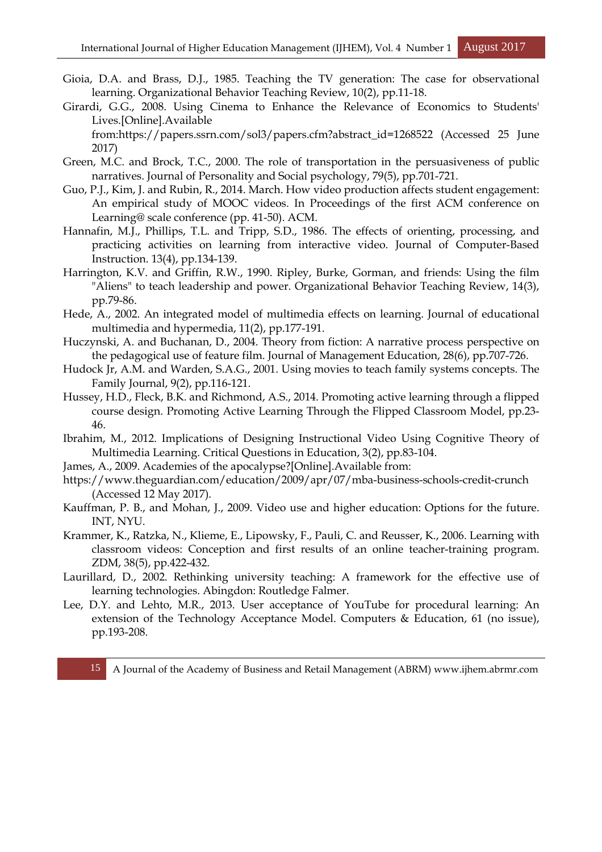- Gioia, D.A. and Brass, D.J., 1985. Teaching the TV generation: The case for observational learning. Organizational Behavior Teaching Review, 10(2), pp.11-18.
- Girardi, G.G., 2008. Using Cinema to Enhance the Relevance of Economics to Students' Lives.[Online].Available

from:https://papers.ssrn.com/sol3/papers.cfm?abstract\_id=1268522 (Accessed 25 June 2017)

- Green, M.C. and Brock, T.C., 2000. The role of transportation in the persuasiveness of public narratives. Journal of Personality and Social psychology, 79(5), pp.701-721.
- Guo, P.J., Kim, J. and Rubin, R., 2014. March. How video production affects student engagement: An empirical study of MOOC videos. In Proceedings of the first ACM conference on Learning@ scale conference (pp. 41-50). ACM.
- Hannafin, M.J., Phillips, T.L. and Tripp, S.D., 1986. The effects of orienting, processing, and practicing activities on learning from interactive video. Journal of Computer-Based Instruction. 13(4), pp.134-139.
- Harrington, K.V. and Griffin, R.W., 1990. Ripley, Burke, Gorman, and friends: Using the film "Aliens" to teach leadership and power. Organizational Behavior Teaching Review, 14(3), pp.79-86.
- Hede, A., 2002. An integrated model of multimedia effects on learning. Journal of educational multimedia and hypermedia, 11(2), pp.177-191.
- Huczynski, A. and Buchanan, D., 2004. Theory from fiction: A narrative process perspective on the pedagogical use of feature film. Journal of Management Education, 28(6), pp.707-726.
- Hudock Jr, A.M. and Warden, S.A.G., 2001. Using movies to teach family systems concepts. The Family Journal, 9(2), pp.116-121.
- Hussey, H.D., Fleck, B.K. and Richmond, A.S., 2014. Promoting active learning through a flipped course design. Promoting Active Learning Through the Flipped Classroom Model, pp.23- 46.
- Ibrahim, M., 2012. Implications of Designing Instructional Video Using Cognitive Theory of Multimedia Learning. Critical Questions in Education, 3(2), pp.83-104.
- James, A., 2009. Academies of the apocalypse?[Online].Available from:
- https://www.theguardian.com/education/2009/apr/07/mba-business-schools-credit-crunch (Accessed 12 May 2017).
- Kauffman, P. B., and Mohan, J., 2009. Video use and higher education: Options for the future. INT, NYU.
- Krammer, K., Ratzka, N., Klieme, E., Lipowsky, F., Pauli, C. and Reusser, K., 2006. Learning with classroom videos: Conception and first results of an online teacher-training program. ZDM, 38(5), pp.422-432.
- Laurillard, D., 2002. Rethinking university teaching: A framework for the effective use of learning technologies. Abingdon: Routledge Falmer.
- Lee, D.Y. and Lehto, M.R., 2013. User acceptance of YouTube for procedural learning: An extension of the Technology Acceptance Model. Computers & Education, 61 (no issue), pp.193-208.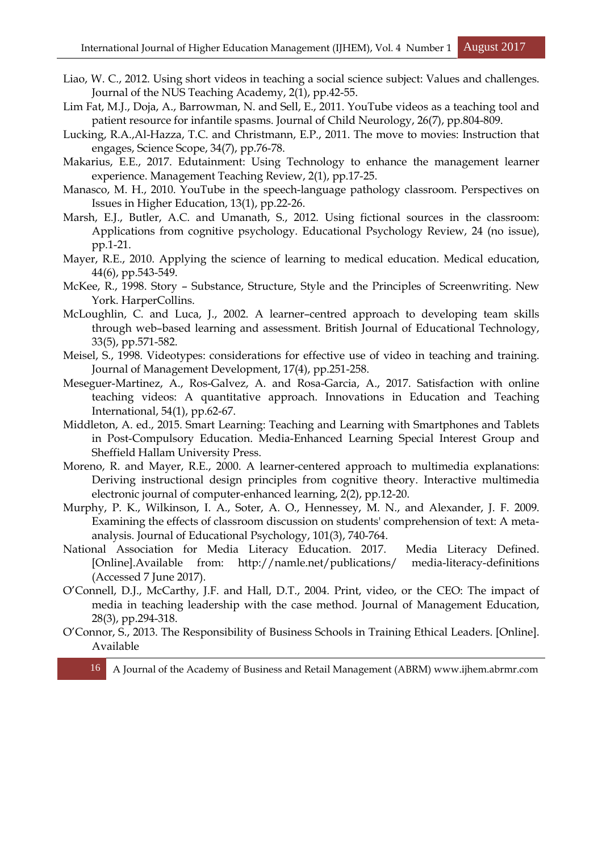- Liao, W. C., 2012. Using short videos in teaching a social science subject: Values and challenges. Journal of the NUS Teaching Academy, 2(1), pp.42-55.
- Lim Fat, M.J., Doja, A., Barrowman, N. and Sell, E., 2011. YouTube videos as a teaching tool and patient resource for infantile spasms. Journal of Child Neurology, 26(7), pp.804-809.
- Lucking, R.A.,Al-Hazza, T.C. and Christmann, E.P., 2011. The move to movies: Instruction that engages, Science Scope, 34(7), pp.76-78.
- Makarius, E.E., 2017. Edutainment: Using Technology to enhance the management learner experience. Management Teaching Review, 2(1), pp.17-25.
- Manasco, M. H., 2010. YouTube in the speech-language pathology classroom. Perspectives on Issues in Higher Education, 13(1), pp.22-26.
- Marsh, E.J., Butler, A.C. and Umanath, S., 2012. Using fictional sources in the classroom: Applications from cognitive psychology. Educational Psychology Review, 24 (no issue), pp.1-21.
- Mayer, R.E., 2010. Applying the science of learning to medical education. Medical education, 44(6), pp.543-549.
- McKee, R., 1998. Story Substance, Structure, Style and the Principles of Screenwriting. New York. HarperCollins.
- McLoughlin, C. and Luca, J., 2002. A learner–centred approach to developing team skills through web–based learning and assessment. British Journal of Educational Technology, 33(5), pp.571-582.
- Meisel, S., 1998. Videotypes: considerations for effective use of video in teaching and training. Journal of Management Development, 17(4), pp.251-258.
- Meseguer-Martinez, A., Ros-Galvez, A. and Rosa-Garcia, A., 2017. Satisfaction with online teaching videos: A quantitative approach. Innovations in Education and Teaching International, 54(1), pp.62-67.
- Middleton, A. ed., 2015. Smart Learning: Teaching and Learning with Smartphones and Tablets in Post-Compulsory Education. Media-Enhanced Learning Special Interest Group and Sheffield Hallam University Press.
- Moreno, R. and Mayer, R.E., 2000. A learner-centered approach to multimedia explanations: Deriving instructional design principles from cognitive theory. Interactive multimedia electronic journal of computer-enhanced learning, 2(2), pp.12-20.
- Murphy, P. K., Wilkinson, I. A., Soter, A. O., Hennessey, M. N., and Alexander, J. F. 2009. Examining the effects of classroom discussion on students' comprehension of text: A metaanalysis. Journal of Educational Psychology, 101(3), 740-764.
- National Association for Media Literacy Education. 2017. Media Literacy Defined. [Online].Available from: http://namle.net/publications/ media-literacy-definitions (Accessed 7 June 2017).
- O'Connell, D.J., McCarthy, J.F. and Hall, D.T., 2004. Print, video, or the CEO: The impact of media in teaching leadership with the case method. Journal of Management Education, 28(3), pp.294-318.
- O'Connor, S., 2013. The Responsibility of Business Schools in Training Ethical Leaders. [Online]. Available

16 A Journal of the Academy of Business and Retail Management (ABRM) www.ijhem.abrmr.com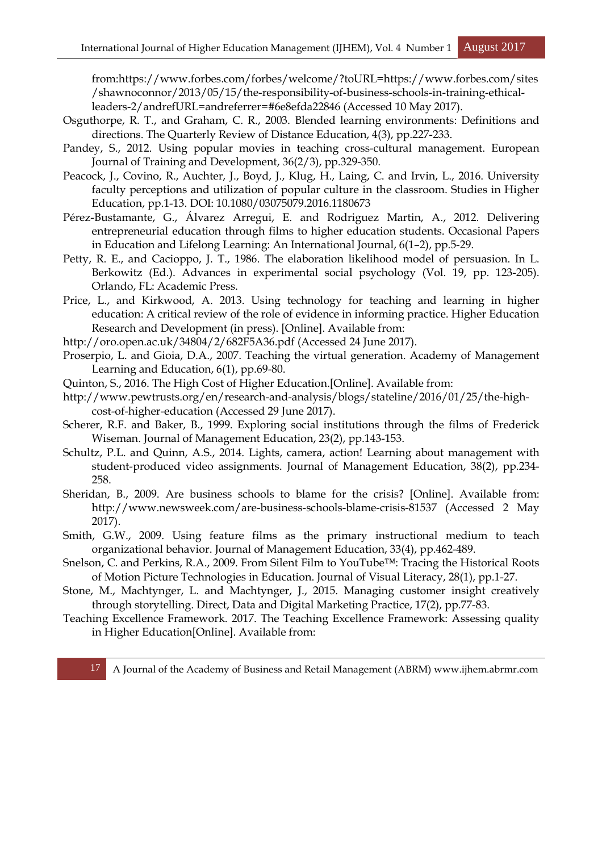from:https://www.forbes.com/forbes/welcome/?toURL=https://www.forbes.com/sites /shawnoconnor/2013/05/15/the-responsibility-of-business-schools-in-training-ethicalleaders-2/andrefURL=andreferrer=#6e8efda22846 (Accessed 10 May 2017).

- Osguthorpe, R. T., and Graham, C. R., 2003. Blended learning environments: Definitions and directions. The Quarterly Review of Distance Education, 4(3), pp.227-233.
- Pandey, S., 2012. Using popular movies in teaching cross-cultural management. European Journal of Training and Development, 36(2/3), pp.329-350.
- Peacock, J., Covino, R., Auchter, J., Boyd, J., Klug, H., Laing, C. and Irvin, L., 2016. University faculty perceptions and utilization of popular culture in the classroom. Studies in Higher Education, pp.1-13. DOI: 10.1080/03075079.2016.1180673
- Pérez-Bustamante, G., Álvarez Arregui, E. and Rodriguez Martin, A., 2012. Delivering entrepreneurial education through films to higher education students. Occasional Papers in Education and Lifelong Learning: An International Journal, 6(1–2), pp.5-29.
- Petty, R. E., and Cacioppo, J. T., 1986. The elaboration likelihood model of persuasion. In L. Berkowitz (Ed.). Advances in experimental social psychology (Vol. 19, pp. 123-205). Orlando, FL: Academic Press.
- Price, L., and Kirkwood, A. 2013. Using technology for teaching and learning in higher education: A critical review of the role of evidence in informing practice. Higher Education Research and Development (in press). [Online]. Available from:
- http://oro.open.ac.uk/34804/2/682F5A36.pdf (Accessed 24 June 2017).
- Proserpio, L. and Gioia, D.A., 2007. Teaching the virtual generation. Academy of Management Learning and Education, 6(1), pp.69-80.
- Quinton, S., 2016. The High Cost of Higher Education.[Online]. Available from:
- http://www.pewtrusts.org/en/research-and-analysis/blogs/stateline/2016/01/25/the-highcost-of-higher-education (Accessed 29 June 2017).
- Scherer, R.F. and Baker, B., 1999. Exploring social institutions through the films of Frederick Wiseman. Journal of Management Education, 23(2), pp.143-153.
- Schultz, P.L. and Quinn, A.S., 2014. Lights, camera, action! Learning about management with student-produced video assignments. Journal of Management Education, 38(2), pp.234- 258.
- Sheridan, B., 2009. Are business schools to blame for the crisis? [Online]. Available from: http://www.newsweek.com/are-business-schools-blame-crisis-81537 (Accessed 2 May 2017).
- Smith, G.W., 2009. Using feature films as the primary instructional medium to teach organizational behavior. Journal of Management Education, 33(4), pp.462-489.
- Snelson, C. and Perkins, R.A., 2009. From Silent Film to YouTube™: Tracing the Historical Roots of Motion Picture Technologies in Education. Journal of Visual Literacy, 28(1), pp.1-27.
- Stone, M., Machtynger, L. and Machtynger, J., 2015. Managing customer insight creatively through storytelling. Direct, Data and Digital Marketing Practice, 17(2), pp.77-83.
- Teaching Excellence Framework. 2017. The Teaching Excellence Framework: Assessing quality in Higher Education[Online]. Available from: